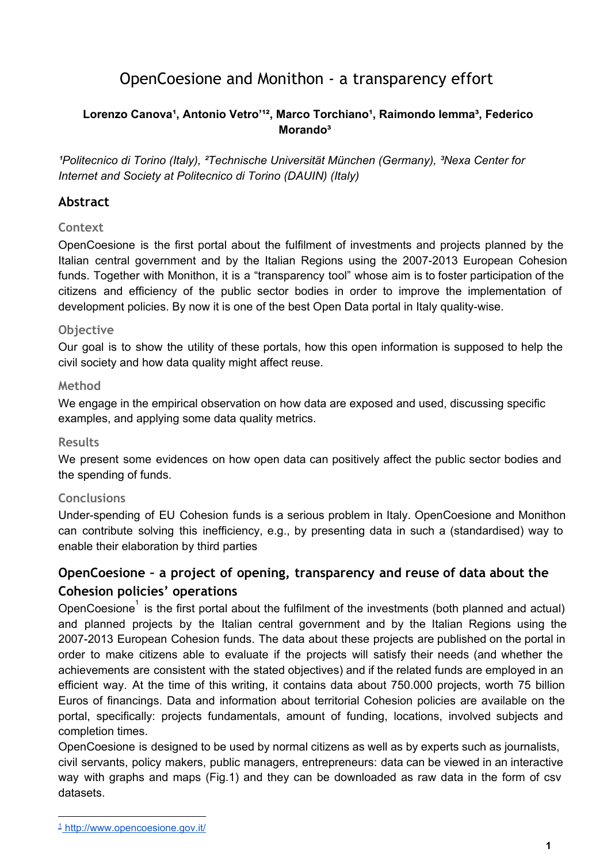# OpenCoesione and Monithon - a transparency effort

### Lorenzo Canova<sup>1</sup>, Antonio Vetro<sup>112</sup>, Marco Torchiano<sup>1</sup>, Raimondo lemma<sup>3</sup>, Federico **Morando³**

*¹Politecnico di Torino (Italy), ²Technische Universität München (Germany), ³Nexa Center for Internet and Society at Politecnico di Torino (DAUIN) (Italy)*

### **Abstract**

#### **Context**

OpenCoesione is the first portal about the fulfilment of investments and projects planned by the Italian central government and by the Italian Regions using the 2007-2013 European Cohesion funds. Together with Monithon, it is a "transparency tool" whose aim is to foster participation of the citizens and efficiency of the public sector bodies in order to improve the implementation of development policies. By now it is one of the best Open Data portal in Italy quality-wise.

#### **Objective**

Our goal is to show the utility of these portals, how this open information is supposed to help the civil society and how data quality might affect reuse.

#### **Method**

We engage in the empirical observation on how data are exposed and used, discussing specific examples, and applying some data quality metrics.

#### **Results**

We present some evidences on how open data can positively affect the public sector bodies and the spending of funds.

### **Conclusions**

Under-spending of EU Cohesion funds is a serious problem in Italy. OpenCoesione and Monithon can contribute solving this inefficiency, e.g., by presenting data in such a (standardised) way to enable their elaboration by third parties

# **OpenCoesione – a project of opening, transparency and reuse of data about the Cohesion policies' operations**

OpenCoesione<sup>1</sup> is the first portal about the fulfilment of the investments (both planned and actual) and planned projects by the Italian central government and by the Italian Regions using the 2007-2013 European Cohesion funds. The data about these projects are published on the portal in order to make citizens able to evaluate if the projects will satisfy their needs (and whether the achievements are consistent with the stated objectives) and if the related funds are employed in an efficient way. At the time of this writing, it contains data about 750.000 projects, worth 75 billion Euros of financings. Data and information about territorial Cohesion policies are available on the portal, specifically: projects fundamentals, amount of funding, locations, involved subjects and completion times.

OpenCoesione is designed to be used by normal citizens as well as by experts such as journalists, civil servants, policy makers, public managers, entrepreneurs: data can be viewed in an interactive way with graphs and maps (Fig.1) and they can be downloaded as raw data in the form of csv datasets.

<sup>1</sup> [http://www.opencoesione.gov.it/](http://www.google.com/url?q=http%3A%2F%2Fwww.opencoesione.gov.it%2F&sa=D&sntz=1&usg=AFQjCNGIUQzOhzdgc0f4hr2fKHs5zMI8og)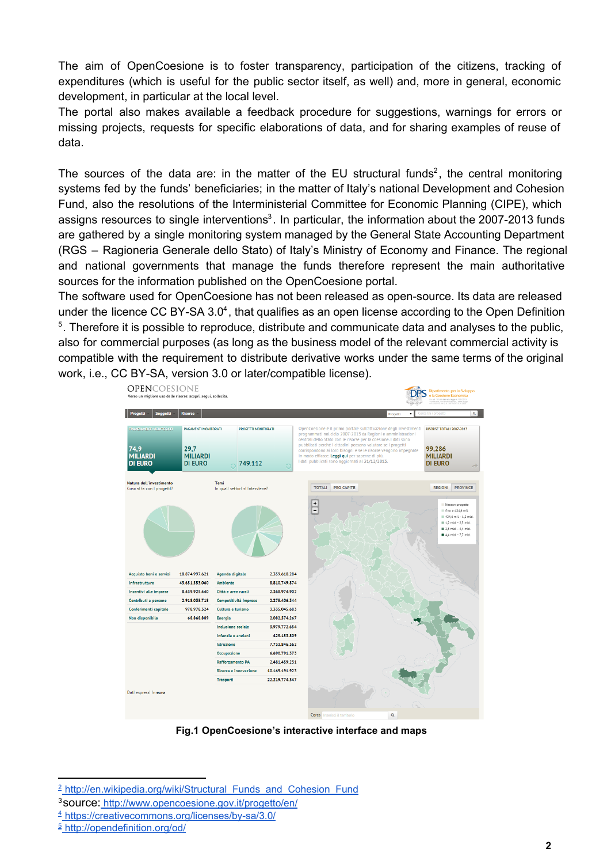The aim of OpenCoesione is to foster transparency, participation of the citizens, tracking of expenditures (which is useful for the public sector itself, as well) and, more in general, economic development, in particular at the local level.

The portal also makes available a feedback procedure for suggestions, warnings for errors or missing projects, requests for specific elaborations of data, and for sharing examples of reuse of data.

The sources of the data are: in the matter of the EU structural funds<sup>2</sup>, the central monitoring systems fed by the funds' beneficiaries; in the matter of Italy's national Development and Cohesion Fund, also the resolutions of the Interministerial Committee for Economic Planning (CIPE), which assigns resources to single interventions<sup>3</sup>. In particular, the information about the 2007-2013 funds are gathered by a single monitoring system managed by the General State Accounting Department (RGS – Ragioneria Generale dello Stato) of Italy's Ministry of Economy and Finance. The regional and national governments that manage the funds therefore represent the main authoritative sources for the information published on the OpenCoesione portal.

The software used for OpenCoesione has not been released as open-source. Its data are released under the licence CC BY-SA  $3.0<sup>4</sup>$ , that qualifies as an open license according to the Open Definition <sup>5</sup>. Therefore it is possible to reproduce, distribute and communicate data and analyses to the public, also for commercial purposes (as long as the business model of the relevant commercial activity is compatible with the requirement to distribute derivative works under the same terms of the original work, i.e., CC BY-SA, version 3.0 or later/compatible license).



**Fig.1 OpenCoesione's interactive interface and maps**

<sup>&</sup>lt;sup>2</sup> [http://en.wikipedia.org/wiki/Structural\\_Funds\\_and\\_Cohesion\\_Fund](http://www.google.com/url?q=http%3A%2F%2Fwww.adnkronos.com%2FIGN%2FNews%2FEconomia%2FDelrio-grave-ritardo-su-fondi-strutturali-rischiamo-di-perdere-5mld_321421100276.html&sa=D&sntz=1&usg=AFQjCNH0bvYyUOHaTyApC4655qD1Bfjh5w)

<sup>3</sup>[source:](http://www.google.com/url?q=http%3A%2F%2Fwww.adnkronos.com%2FIGN%2FNews%2FEconomia%2FDelrio-grave-ritardo-su-fondi-strutturali-rischiamo-di-perdere-5mld_321421100276.html&sa=D&sntz=1&usg=AFQjCNH0bvYyUOHaTyApC4655qD1Bfjh5w) [http://www.opencoesione.gov.it/progetto/en/](http://www.google.com/url?q=http%3A%2F%2Fwww.adnkronos.com%2FIGN%2FNews%2FEconomia%2FDelrio-grave-ritardo-su-fondi-strutturali-rischiamo-di-perdere-5mld_321421100276.html&sa=D&sntz=1&usg=AFQjCNH0bvYyUOHaTyApC4655qD1Bfjh5w)

 $4$  https://creativecommons.org/licenses/by-sa/3.0/

<sup>5</sup> [http://opendefinition.org/od/](http://www.google.com/url?q=http%3A%2F%2Fwww.adnkronos.com%2FIGN%2FNews%2FEconomia%2FDelrio-grave-ritardo-su-fondi-strutturali-rischiamo-di-perdere-5mld_321421100276.html&sa=D&sntz=1&usg=AFQjCNH0bvYyUOHaTyApC4655qD1Bfjh5w)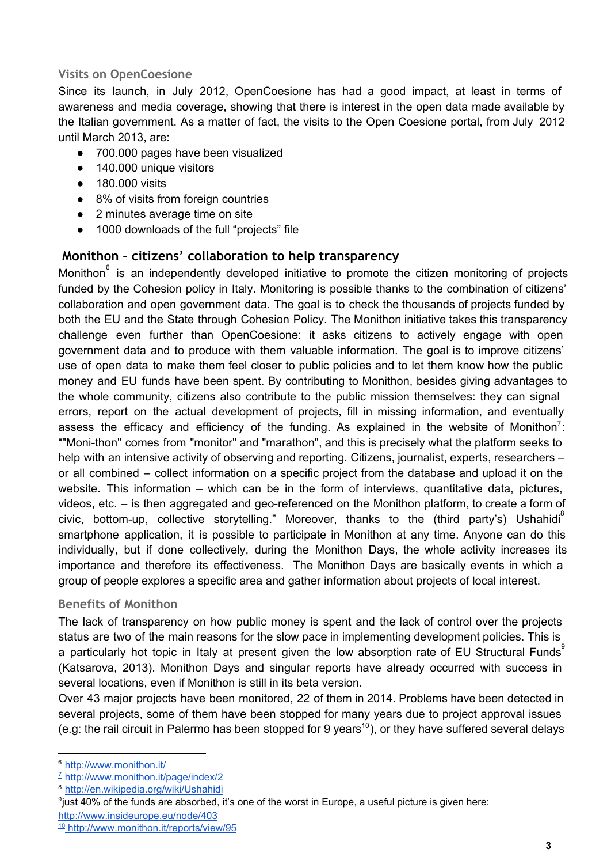### **Visits on OpenCoesione**

Since its launch, in July 2012, OpenCoesione has had a good impact, at least in terms of awareness and media coverage, showing that there is interest in the open data made available by the Italian government. As a matter of fact, the visits to the Open Coesione portal, from July 2012 until March 2013, are:

- 700.000 pages have been visualized
- 140.000 unique visitors
- 180.000 visits
- 8% of visits from foreign countries
- 2 minutes average time on site
- 1000 downloads of the full "projects" file

## **Monithon – citizens' collaboration to help transparency**

Monithon $\degree$  is an independently developed initiative to promote the citizen monitoring of projects funded by the Cohesion policy in Italy. Monitoring is possible thanks to the combination of citizens' collaboration and open government data. The goal is to check the thousands of projects funded by both the EU and the State through Cohesion Policy. The Monithon initiative takes this transparency challenge even further than OpenCoesione: it asks citizens to actively engage with open government data and to produce with them valuable information. The goal is to improve citizens' use of open data to make them feel closer to public policies and to let them know how the public money and EU funds have been spent. By contributing to Monithon, besides giving advantages to the whole community, citizens also contribute to the public mission themselves: they can signal errors, report on the actual development of projects, fill in missing information, and eventually assess the efficacy and efficiency of the funding. As explained in the website of Monithon<sup>7</sup>: ""Moni-thon" comes from "monitor" and "marathon", and this is precisely what the platform seeks to help with an intensive activity of observing and reporting. Citizens, journalist, experts, researchers – or all combined – collect information on a specific project from the database and upload it on the website. This information – which can be in the form of interviews, quantitative data, pictures, videos, etc. - is then aggregated and geo-referenced on the Monithon platform, to create a form of civic, bottom-up, collective storytelling." Moreover, thanks to the (third party's) Ushahidi<sup>8</sup> smartphone application, it is possible to participate in Monithon at any time. Anyone can do this individually, but if done collectively, during the Monithon Days, the whole activity increases its importance and therefore its effectiveness. The Monithon Days are basically events in which a group of people explores a specific area and gather information about projects of local interest.

### **Benefits of Monithon**

The lack of transparency on how public money is spent and the lack of control over the projects status are two of the main reasons for the slow pace in implementing development policies. This is a particularly hot topic in Italy at present given the low absorption rate of EU Structural Funds (Katsarova, 2013). Monithon Days and singular reports have already occurred with success in several locations, even if Monithon is still in its beta version.

Over 43 major projects have been monitored, 22 of them in 2014. Problems have been detected in several projects, some of them have been stopped for many years due to project approval issues (e.g: the rail circuit in Palermo has been stopped for 9 years<sup>10</sup>), or they have suffered several delays

<sup>9</sup>just 40% of the funds are [absorbed,](http://www.google.com/url?q=http%3A%2F%2Fit.wikipedia.org%2Fwiki%2FUshahidi&sa=D&sntz=1&usg=AFQjCNEYTQR__ClZNFgitP5DQI7fxAltYw) it's one of the worst in Europe, a useful picture is given here: [http://www.insideurope.eu/node/403](http://www.google.com/url?q=http%3A%2F%2Fwww.insideurope.eu%2Fnode%2F403&sa=D&sntz=1&usg=AFQjCNHU7-MDNXNDe55-Xr8cqQ_tvANmVw)

<sup>6</sup> [http://www.monithon.it/](http://www.google.com/url?q=http%3A%2F%2Fwww.monithon.it%2Fpage%2Findex%2F2&sa=D&sntz=1&usg=AFQjCNE18gD1ww3htNULD3U8GLt4YeIbbQ)

<sup>7</sup> [http://www.monithon.it/page/index/2](http://www.google.com/url?q=http%3A%2F%2Fveprints.unica.it%2F220%2F1%2F06-03.pdf&sa=D&sntz=1&usg=AFQjCNFNwF3Q_vn1MupUbn4_nuSKRY8jyw)

<sup>8</sup> [http://en.wikipedia.org/wiki/Ushahidi](http://www.google.com/url?q=http%3A%2F%2Fit.wikipedia.org%2Fwiki%2FUshahidi&sa=D&sntz=1&usg=AFQjCNEYTQR__ClZNFgitP5DQI7fxAltYw)

<sup>10</sup> [http://www.monithon.it/reports/view/95](http://www.google.com/url?q=http%3A%2F%2Fveprints.unica.it%2F220%2F1%2F06-03.pdf&sa=D&sntz=1&usg=AFQjCNFNwF3Q_vn1MupUbn4_nuSKRY8jyw)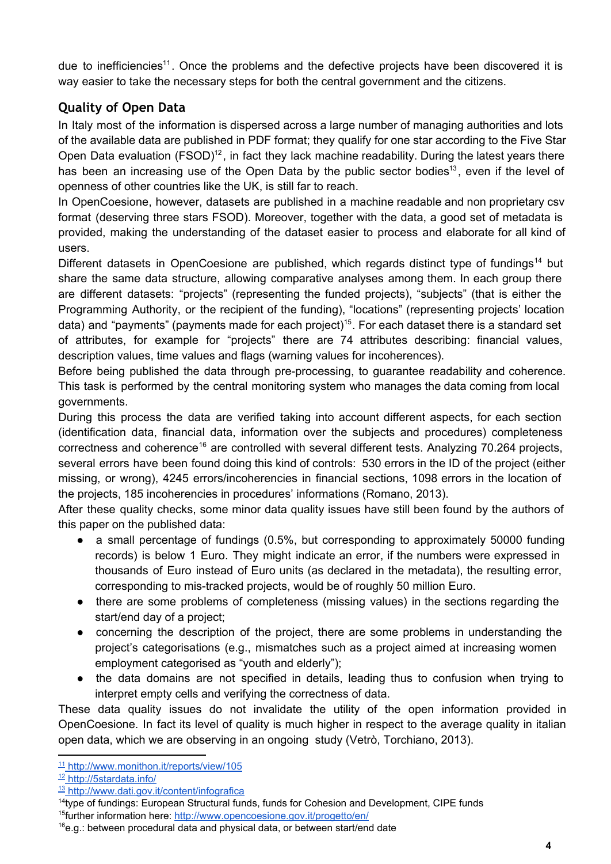due to inefficiencies<sup>11</sup>. Once the problems and the defective projects have been discovered it is way easier to take the necessary steps for both the central government and the citizens.

# **Quality of Open Data**

In Italy most of the information is dispersed across a large number of managing authorities and lots of the available data are published in PDF format; they qualify for one star according to the Five Star Open Data evaluation ( $F\text{SOD}$ )<sup>12</sup>, in fact they lack machine readability. During the latest years there has been an increasing use of the Open Data by the public sector bodies<sup>13</sup>, even if the level of openness of other countries like the UK, is still far to reach.

In OpenCoesione, however, datasets are published in a machine readable and non proprietary csv format (deserving three stars FSOD). Moreover, together with the data, a good set of metadata is provided, making the understanding of the dataset easier to process and elaborate for all kind of users.

Different datasets in OpenCoesione are published, which regards distinct type of fundings<sup>14</sup> but share the same data structure, allowing comparative analyses among them. In each group there are different datasets: "projects" (representing the funded projects), "subjects" (that is either the Programming Authority, or the recipient of the funding), "locations" (representing projects' location data) and "payments" (payments made for each project)<sup>15</sup>. For each dataset there is a standard set of attributes, for example for "projects" there are 74 attributes describing: financial values, description values, time values and flags (warning values for incoherences).

Before being published the data through pre-processing, to guarantee readability and coherence. This task is performed by the central monitoring system who manages the data coming from local governments.

During this process the data are verified taking into account different aspects, for each section (identification data, financial data, information over the subjects and procedures) completeness correctness and coherence<sup>16</sup> are controlled with several different tests. Analyzing 70.264 projects, several errors have been found doing this kind of controls: 530 errors in the ID of the project (either missing, or wrong), 4245 errors/incoherencies in financial sections, 1098 errors in the location of the projects, 185 incoherencies in procedures' informations (Romano, 2013).

After these quality checks, some minor data quality issues have still been found by the authors of this paper on the published data:

- a small percentage of fundings (0.5%, but corresponding to approximately 50000 funding records) is below 1 Euro. They might indicate an error, if the numbers were expressed in thousands of Euro instead of Euro units (as declared in the metadata), the resulting error, corresponding to mis-tracked projects, would be of roughly 50 million Euro.
- there are some problems of completeness (missing values) in the sections regarding the start/end day of a project;
- concerning the description of the project, there are some problems in understanding the project's categorisations (e.g., mismatches such as a project aimed at increasing women employment categorised as "youth and elderly");
- the data domains are not specified in details, leading thus to confusion when trying to interpret empty cells and verifying the correctness of data.

These data quality issues do not invalidate the utility of the open information provided in OpenCoesione. In fact its level of quality is much higher in respect to the average quality in italian open data, which we are observing in an ongoing study (Vetrò, Torchiano, 2013).

<sup>11</sup> [http://www.monithon.it/reports/view/105](http://www.google.com/url?q=http%3A%2F%2Fveprints.unica.it%2F220%2F1%2F06-03.pdf&sa=D&sntz=1&usg=AFQjCNFNwF3Q_vn1MupUbn4_nuSKRY8jyw)

<sup>12</sup> [http://5stardata.info/](http://www.google.com/url?q=http%3A%2F%2Fwww.adnkronos.com%2FIGN%2FNews%2FEconomia%2FDelrio-grave-ritardo-su-fondi-strutturali-rischiamo-di-perdere-5mld_321421100276.html&sa=D&sntz=1&usg=AFQjCNH0bvYyUOHaTyApC4655qD1Bfjh5w)

<sup>13</sup> [http://www.dati.gov.it/content/infografica](http://www.google.com/url?q=http%3A%2F%2Fwww.adnkronos.com%2FIGN%2FNews%2FEconomia%2FDelrio-grave-ritardo-su-fondi-strutturali-rischiamo-di-perdere-5mld_321421100276.html&sa=D&sntz=1&usg=AFQjCNH0bvYyUOHaTyApC4655qD1Bfjh5w)

<sup>&</sup>lt;sup>14</sup>type of fundings: European Structural funds, funds for Cohesion and [Development,](http://www.google.com/url?q=http%3A%2F%2Fwww.adnkronos.com%2FIGN%2FNews%2FEconomia%2FDelrio-grave-ritardo-su-fondi-strutturali-rischiamo-di-perdere-5mld_321421100276.html&sa=D&sntz=1&usg=AFQjCNH0bvYyUOHaTyApC4655qD1Bfjh5w) CIPE funds <sup>15</sup>further [information](http://www.google.com/url?q=http%3A%2F%2Fwww.adnkronos.com%2FIGN%2FNews%2FEconomia%2FDelrio-grave-ritardo-su-fondi-strutturali-rischiamo-di-perdere-5mld_321421100276.html&sa=D&sntz=1&usg=AFQjCNH0bvYyUOHaTyApC4655qD1Bfjh5w) here: [http://www.opencoesione.gov.it/progetto/en/](http://www.google.com/url?q=http%3A%2F%2Fwww.adnkronos.com%2FIGN%2FNews%2FEconomia%2FDelrio-grave-ritardo-su-fondi-strutturali-rischiamo-di-perdere-5mld_321421100276.html&sa=D&sntz=1&usg=AFQjCNH0bvYyUOHaTyApC4655qD1Bfjh5w)

 $16$ e.g.: between [procedural](http://www.google.com/url?q=http%3A%2F%2Fwww.adnkronos.com%2FIGN%2FNews%2FEconomia%2FDelrio-grave-ritardo-su-fondi-strutturali-rischiamo-di-perdere-5mld_321421100276.html&sa=D&sntz=1&usg=AFQjCNH0bvYyUOHaTyApC4655qD1Bfjh5w) data and physical data, or b[e](http://www.google.com/url?q=http%3A%2F%2Fwww.adnkronos.com%2FIGN%2FNews%2FEconomia%2FDelrio-grave-ritardo-su-fondi-strutturali-rischiamo-di-perdere-5mld_321421100276.html&sa=D&sntz=1&usg=AFQjCNH0bvYyUOHaTyApC4655qD1Bfjh5w)tween start/end date